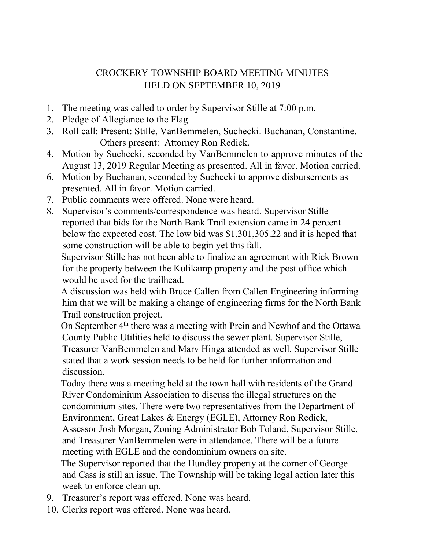## CROCKERY TOWNSHIP BOARD MEETING MINUTES HELD ON SEPTEMBER 10, 2019

- 1. The meeting was called to order by Supervisor Stille at 7:00 p.m.
- 2. Pledge of Allegiance to the Flag
- 3. Roll call: Present: Stille, VanBemmelen, Suchecki. Buchanan, Constantine. Others present: Attorney Ron Redick.
- 4. Motion by Suchecki, seconded by VanBemmelen to approve minutes of the August 13, 2019 Regular Meeting as presented. All in favor. Motion carried.
- 6. Motion by Buchanan, seconded by Suchecki to approve disbursements as presented. All in favor. Motion carried.
- 7. Public comments were offered. None were heard.
- 8. Supervisor's comments/correspondence was heard. Supervisor Stille reported that bids for the North Bank Trail extension came in 24 percent below the expected cost. The low bid was \$1,301,305.22 and it is hoped that some construction will be able to begin yet this fall.

 Supervisor Stille has not been able to finalize an agreement with Rick Brown for the property between the Kulikamp property and the post office which would be used for the trailhead.

 A discussion was held with Bruce Callen from Callen Engineering informing him that we will be making a change of engineering firms for the North Bank Trail construction project.

On September 4<sup>th</sup> there was a meeting with Prein and Newhof and the Ottawa County Public Utilities held to discuss the sewer plant. Supervisor Stille, Treasurer VanBemmelen and Marv Hinga attended as well. Supervisor Stille stated that a work session needs to be held for further information and discussion.

 Today there was a meeting held at the town hall with residents of the Grand River Condominium Association to discuss the illegal structures on the condominium sites. There were two representatives from the Department of Environment, Great Lakes & Energy (EGLE), Attorney Ron Redick, Assessor Josh Morgan, Zoning Administrator Bob Toland, Supervisor Stille, and Treasurer VanBemmelen were in attendance. There will be a future meeting with EGLE and the condominium owners on site.

 The Supervisor reported that the Hundley property at the corner of George and Cass is still an issue. The Township will be taking legal action later this week to enforce clean up.

- 9. Treasurer's report was offered. None was heard.
- 10. Clerks report was offered. None was heard.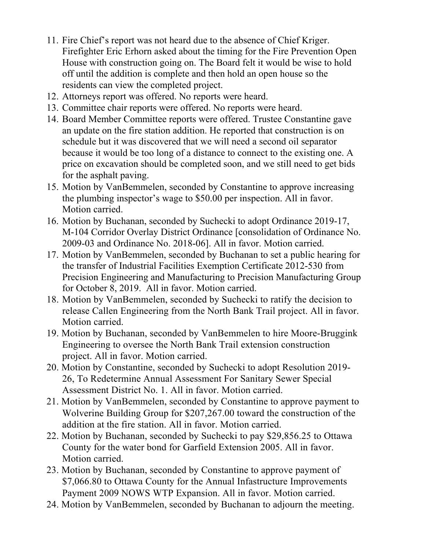- 11. Fire Chief's report was not heard due to the absence of Chief Kriger. Firefighter Eric Erhorn asked about the timing for the Fire Prevention Open House with construction going on. The Board felt it would be wise to hold off until the addition is complete and then hold an open house so the residents can view the completed project.
- 12. Attorneys report was offered. No reports were heard.
- 13. Committee chair reports were offered. No reports were heard.
- 14. Board Member Committee reports were offered. Trustee Constantine gave an update on the fire station addition. He reported that construction is on schedule but it was discovered that we will need a second oil separator because it would be too long of a distance to connect to the existing one. A price on excavation should be completed soon, and we still need to get bids for the asphalt paving.
- 15. Motion by VanBemmelen, seconded by Constantine to approve increasing the plumbing inspector's wage to \$50.00 per inspection. All in favor. Motion carried.
- 16. Motion by Buchanan, seconded by Suchecki to adopt Ordinance 2019-17, M-104 Corridor Overlay District Ordinance [consolidation of Ordinance No. 2009-03 and Ordinance No. 2018-06]. All in favor. Motion carried.
- 17. Motion by VanBemmelen, seconded by Buchanan to set a public hearing for the transfer of Industrial Facilities Exemption Certificate 2012-530 from Precision Engineering and Manufacturing to Precision Manufacturing Group for October 8, 2019. All in favor. Motion carried.
- 18. Motion by VanBemmelen, seconded by Suchecki to ratify the decision to release Callen Engineering from the North Bank Trail project. All in favor. Motion carried.
- 19. Motion by Buchanan, seconded by VanBemmelen to hire Moore-Bruggink Engineering to oversee the North Bank Trail extension construction project. All in favor. Motion carried.
- 20. Motion by Constantine, seconded by Suchecki to adopt Resolution 2019- 26, To Redetermine Annual Assessment For Sanitary Sewer Special Assessment District No. 1. All in favor. Motion carried.
- 21. Motion by VanBemmelen, seconded by Constantine to approve payment to Wolverine Building Group for \$207,267.00 toward the construction of the addition at the fire station. All in favor. Motion carried.
- 22. Motion by Buchanan, seconded by Suchecki to pay \$29,856.25 to Ottawa County for the water bond for Garfield Extension 2005. All in favor. Motion carried.
- 23. Motion by Buchanan, seconded by Constantine to approve payment of \$7,066.80 to Ottawa County for the Annual Infastructure Improvements Payment 2009 NOWS WTP Expansion. All in favor. Motion carried.
- 24. Motion by VanBemmelen, seconded by Buchanan to adjourn the meeting.